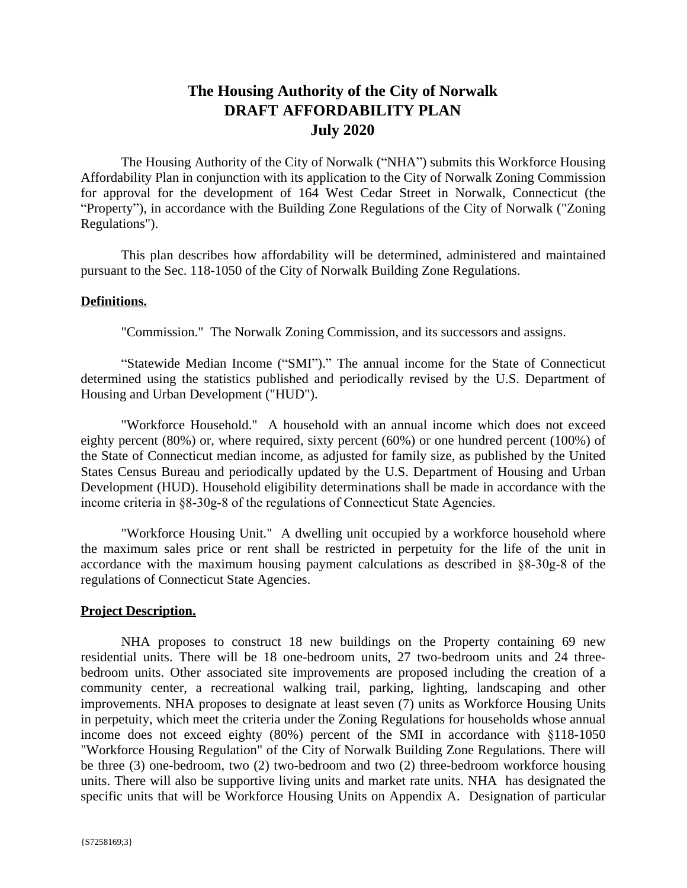# **The Housing Authority of the City of Norwalk DRAFT AFFORDABILITY PLAN July 2020**

The Housing Authority of the City of Norwalk ("NHA") submits this Workforce Housing Affordability Plan in conjunction with its application to the City of Norwalk Zoning Commission for approval for the development of 164 West Cedar Street in Norwalk, Connecticut (the "Property"), in accordance with the Building Zone Regulations of the City of Norwalk ("Zoning Regulations").

This plan describes how affordability will be determined, administered and maintained pursuant to the Sec. 118-1050 of the City of Norwalk Building Zone Regulations.

#### **Definitions.**

"Commission." The Norwalk Zoning Commission, and its successors and assigns.

"Statewide Median Income ("SMI")." The annual income for the State of Connecticut determined using the statistics published and periodically revised by the U.S. Department of Housing and Urban Development ("HUD").

"Workforce Household." A household with an annual income which does not exceed eighty percent (80%) or, where required, sixty percent (60%) or one hundred percent (100%) of the State of Connecticut median income, as adjusted for family size, as published by the United States Census Bureau and periodically updated by the U.S. Department of Housing and Urban Development (HUD). Household eligibility determinations shall be made in accordance with the income criteria in §8-30g-8 of the regulations of Connecticut State Agencies.

"Workforce Housing Unit." A dwelling unit occupied by a workforce household where the maximum sales price or rent shall be restricted in perpetuity for the life of the unit in accordance with the maximum housing payment calculations as described in §8-30g-8 of the regulations of Connecticut State Agencies.

#### **Project Description.**

NHA proposes to construct 18 new buildings on the Property containing 69 new residential units. There will be 18 one-bedroom units, 27 two-bedroom units and 24 threebedroom units. Other associated site improvements are proposed including the creation of a community center, a recreational walking trail, parking, lighting, landscaping and other improvements. NHA proposes to designate at least seven (7) units as Workforce Housing Units in perpetuity, which meet the criteria under the Zoning Regulations for households whose annual income does not exceed eighty (80%) percent of the SMI in accordance with §118-1050 "Workforce Housing Regulation" of the City of Norwalk Building Zone Regulations. There will be three (3) one-bedroom, two (2) two-bedroom and two (2) three-bedroom workforce housing units. There will also be supportive living units and market rate units. NHA has designated the specific units that will be Workforce Housing Units on Appendix A. Designation of particular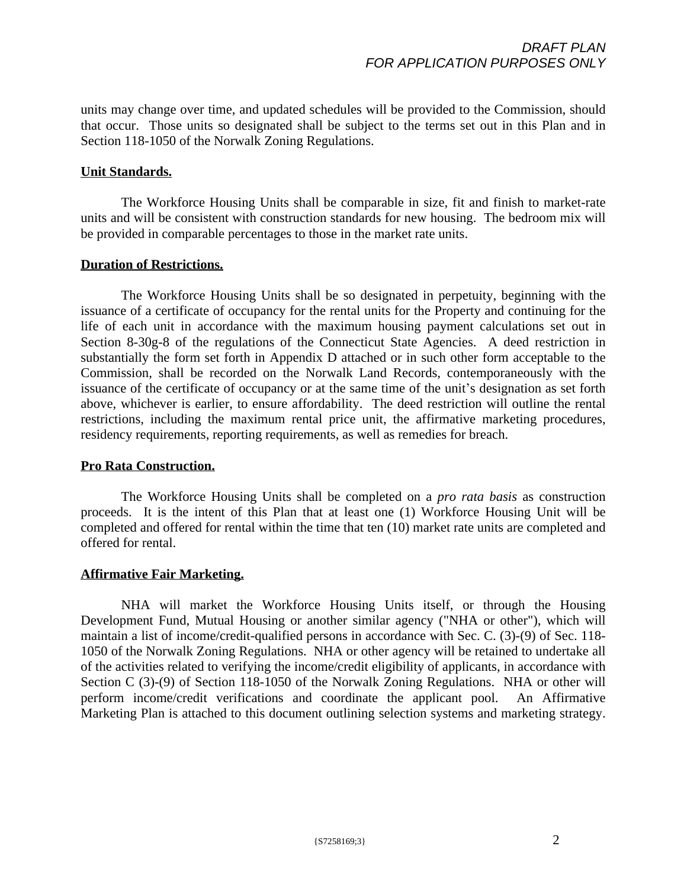units may change over time, and updated schedules will be provided to the Commission, should that occur. Those units so designated shall be subject to the terms set out in this Plan and in Section 118-1050 of the Norwalk Zoning Regulations.

#### **Unit Standards.**

The Workforce Housing Units shall be comparable in size, fit and finish to market-rate units and will be consistent with construction standards for new housing. The bedroom mix will be provided in comparable percentages to those in the market rate units.

#### **Duration of Restrictions.**

The Workforce Housing Units shall be so designated in perpetuity, beginning with the issuance of a certificate of occupancy for the rental units for the Property and continuing for the life of each unit in accordance with the maximum housing payment calculations set out in Section 8-30g-8 of the regulations of the Connecticut State Agencies. A deed restriction in substantially the form set forth in Appendix D attached or in such other form acceptable to the Commission, shall be recorded on the Norwalk Land Records, contemporaneously with the issuance of the certificate of occupancy or at the same time of the unit's designation as set forth above, whichever is earlier, to ensure affordability. The deed restriction will outline the rental restrictions, including the maximum rental price unit, the affirmative marketing procedures, residency requirements, reporting requirements, as well as remedies for breach.

### **Pro Rata Construction.**

The Workforce Housing Units shall be completed on a *pro rata basis* as construction proceeds. It is the intent of this Plan that at least one (1) Workforce Housing Unit will be completed and offered for rental within the time that ten (10) market rate units are completed and offered for rental.

### **Affirmative Fair Marketing.**

NHA will market the Workforce Housing Units itself, or through the Housing Development Fund, Mutual Housing or another similar agency ("NHA or other"), which will maintain a list of income/credit-qualified persons in accordance with Sec. C. (3)-(9) of Sec. 118- 1050 of the Norwalk Zoning Regulations. NHA or other agency will be retained to undertake all of the activities related to verifying the income/credit eligibility of applicants, in accordance with Section C (3)-(9) of Section 118-1050 of the Norwalk Zoning Regulations. NHA or other will perform income/credit verifications and coordinate the applicant pool. An Affirmative Marketing Plan is attached to this document outlining selection systems and marketing strategy.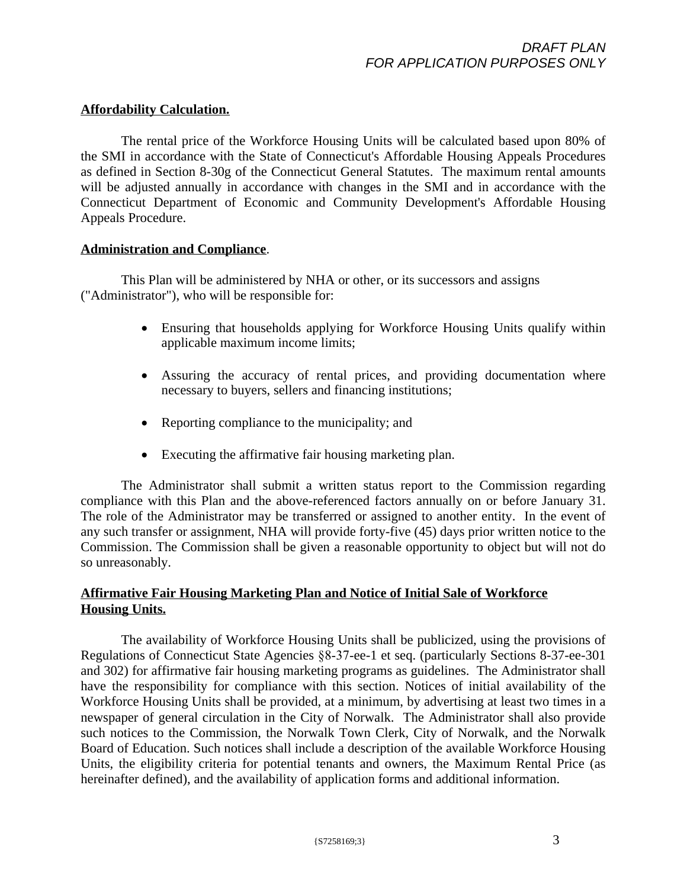#### **Affordability Calculation.**

The rental price of the Workforce Housing Units will be calculated based upon 80% of the SMI in accordance with the State of Connecticut's Affordable Housing Appeals Procedures as defined in Section 8-30g of the Connecticut General Statutes. The maximum rental amounts will be adjusted annually in accordance with changes in the SMI and in accordance with the Connecticut Department of Economic and Community Development's Affordable Housing Appeals Procedure.

#### **Administration and Compliance**.

This Plan will be administered by NHA or other, or its successors and assigns ("Administrator"), who will be responsible for:

- Ensuring that households applying for Workforce Housing Units qualify within applicable maximum income limits;
- Assuring the accuracy of rental prices, and providing documentation where necessary to buyers, sellers and financing institutions;
- Reporting compliance to the municipality; and
- Executing the affirmative fair housing marketing plan.

The Administrator shall submit a written status report to the Commission regarding compliance with this Plan and the above-referenced factors annually on or before January 31. The role of the Administrator may be transferred or assigned to another entity. In the event of any such transfer or assignment, NHA will provide forty-five (45) days prior written notice to the Commission. The Commission shall be given a reasonable opportunity to object but will not do so unreasonably.

## **Affirmative Fair Housing Marketing Plan and Notice of Initial Sale of Workforce Housing Units.**

The availability of Workforce Housing Units shall be publicized, using the provisions of Regulations of Connecticut State Agencies §8-37-ee-1 et seq. (particularly Sections 8-37-ee-301 and 302) for affirmative fair housing marketing programs as guidelines. The Administrator shall have the responsibility for compliance with this section. Notices of initial availability of the Workforce Housing Units shall be provided, at a minimum, by advertising at least two times in a newspaper of general circulation in the City of Norwalk. The Administrator shall also provide such notices to the Commission, the Norwalk Town Clerk, City of Norwalk, and the Norwalk Board of Education. Such notices shall include a description of the available Workforce Housing Units, the eligibility criteria for potential tenants and owners, the Maximum Rental Price (as hereinafter defined), and the availability of application forms and additional information.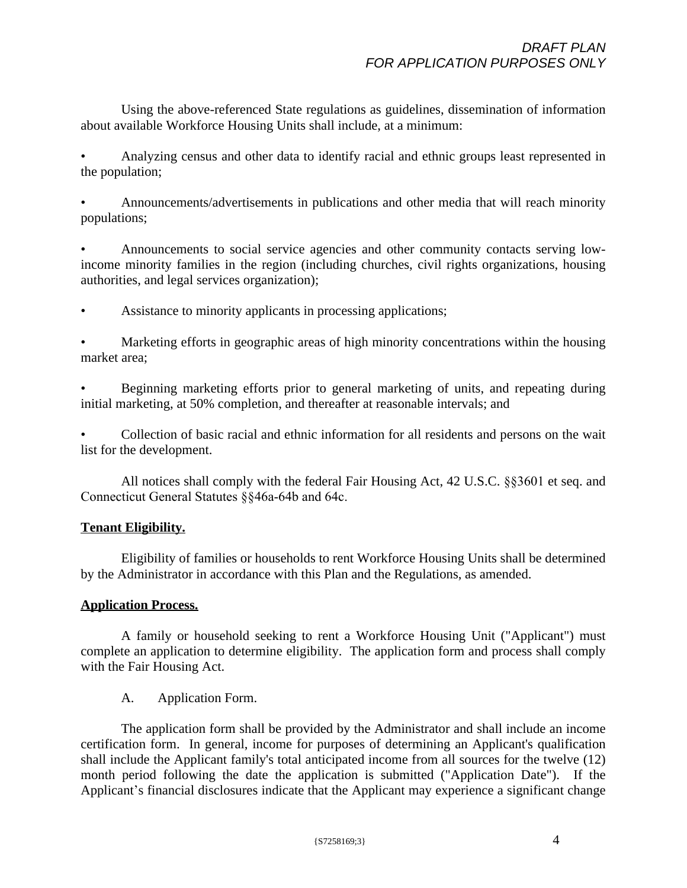Using the above-referenced State regulations as guidelines, dissemination of information about available Workforce Housing Units shall include, at a minimum:

• Analyzing census and other data to identify racial and ethnic groups least represented in the population;

• Announcements/advertisements in publications and other media that will reach minority populations;

• Announcements to social service agencies and other community contacts serving lowincome minority families in the region (including churches, civil rights organizations, housing authorities, and legal services organization);

Assistance to minority applicants in processing applications;

• Marketing efforts in geographic areas of high minority concentrations within the housing market area;

• Beginning marketing efforts prior to general marketing of units, and repeating during initial marketing, at 50% completion, and thereafter at reasonable intervals; and

• Collection of basic racial and ethnic information for all residents and persons on the wait list for the development.

All notices shall comply with the federal Fair Housing Act, 42 U.S.C. §§3601 et seq. and Connecticut General Statutes §§46a-64b and 64c.

### **Tenant Eligibility.**

Eligibility of families or households to rent Workforce Housing Units shall be determined by the Administrator in accordance with this Plan and the Regulations, as amended.

### **Application Process.**

A family or household seeking to rent a Workforce Housing Unit ("Applicant") must complete an application to determine eligibility. The application form and process shall comply with the Fair Housing Act.

### A. Application Form.

The application form shall be provided by the Administrator and shall include an income certification form. In general, income for purposes of determining an Applicant's qualification shall include the Applicant family's total anticipated income from all sources for the twelve (12) month period following the date the application is submitted ("Application Date"). If the Applicant's financial disclosures indicate that the Applicant may experience a significant change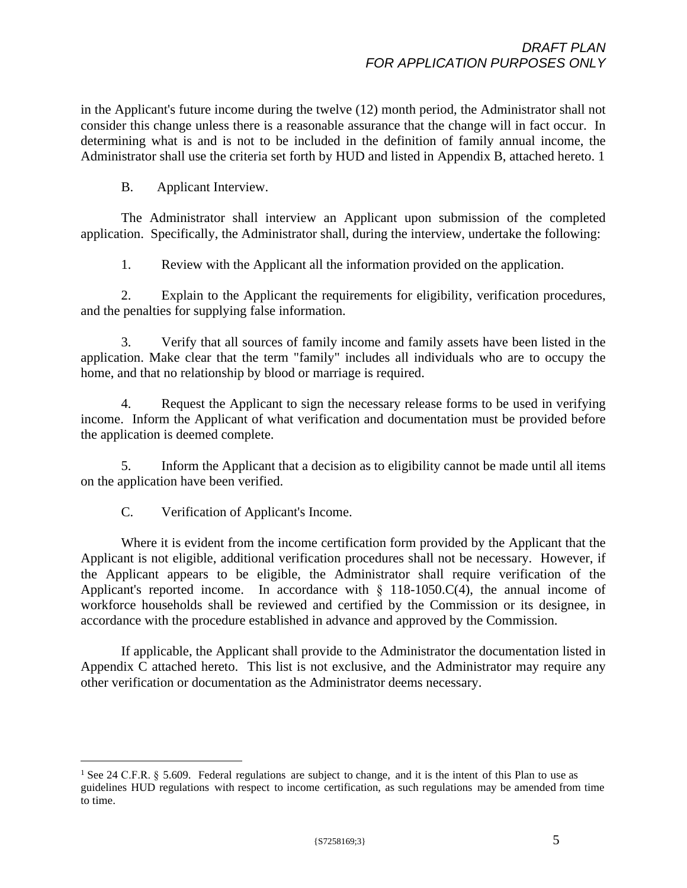in the Applicant's future income during the twelve (12) month period, the Administrator shall not consider this change unless there is a reasonable assurance that the change will in fact occur. In determining what is and is not to be included in the definition of family annual income, the Administrator shall use the criteria set forth by HUD and listed in Appendix B, attached hereto. 1

B. Applicant Interview.

The Administrator shall interview an Applicant upon submission of the completed application. Specifically, the Administrator shall, during the interview, undertake the following:

1. Review with the Applicant all the information provided on the application.

2. Explain to the Applicant the requirements for eligibility, verification procedures, and the penalties for supplying false information.

3. Verify that all sources of family income and family assets have been listed in the application. Make clear that the term "family" includes all individuals who are to occupy the home, and that no relationship by blood or marriage is required.

4. Request the Applicant to sign the necessary release forms to be used in verifying income. Inform the Applicant of what verification and documentation must be provided before the application is deemed complete.

5. Inform the Applicant that a decision as to eligibility cannot be made until all items on the application have been verified.

C. Verification of Applicant's Income.

Where it is evident from the income certification form provided by the Applicant that the Applicant is not eligible, additional verification procedures shall not be necessary. However, if the Applicant appears to be eligible, the Administrator shall require verification of the Applicant's reported income. In accordance with  $\S$  118-1050.C(4), the annual income of workforce households shall be reviewed and certified by the Commission or its designee, in accordance with the procedure established in advance and approved by the Commission.

If applicable, the Applicant shall provide to the Administrator the documentation listed in Appendix C attached hereto. This list is not exclusive, and the Administrator may require any other verification or documentation as the Administrator deems necessary.

<sup>&</sup>lt;sup>1</sup> See 24 C.F.R. § 5.609. Federal regulations are subject to change, and it is the intent of this Plan to use as guidelines HUD regulations with respect to income certification, as such regulations may be amended from time to time.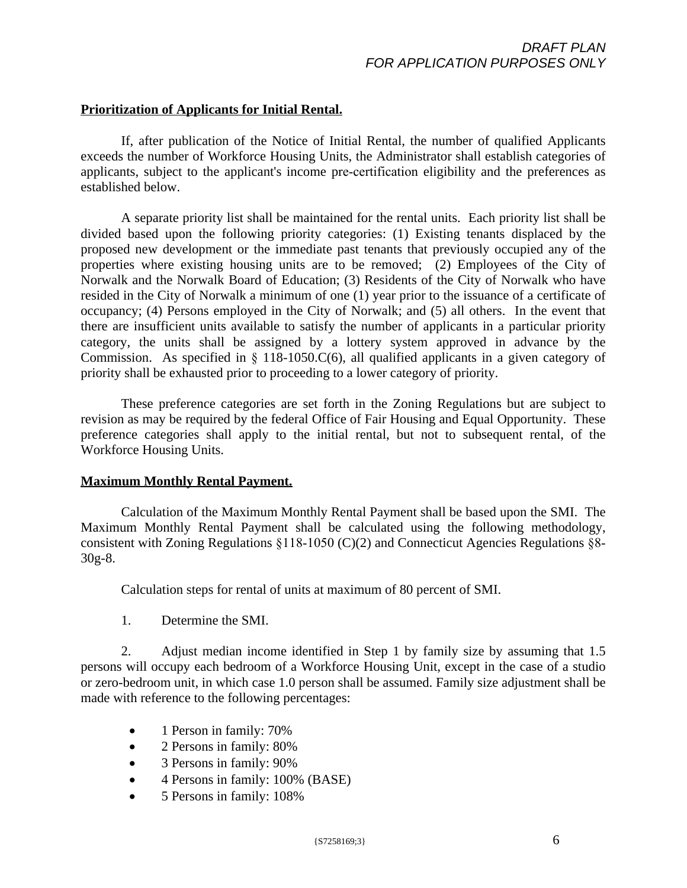### **Prioritization of Applicants for Initial Rental.**

If, after publication of the Notice of Initial Rental, the number of qualified Applicants exceeds the number of Workforce Housing Units, the Administrator shall establish categories of applicants, subject to the applicant's income pre-certification eligibility and the preferences as established below.

A separate priority list shall be maintained for the rental units. Each priority list shall be divided based upon the following priority categories: (1) Existing tenants displaced by the proposed new development or the immediate past tenants that previously occupied any of the properties where existing housing units are to be removed; (2) Employees of the City of Norwalk and the Norwalk Board of Education; (3) Residents of the City of Norwalk who have resided in the City of Norwalk a minimum of one (1) year prior to the issuance of a certificate of occupancy; (4) Persons employed in the City of Norwalk; and (5) all others. In the event that there are insufficient units available to satisfy the number of applicants in a particular priority category, the units shall be assigned by a lottery system approved in advance by the Commission. As specified in  $\S$  118-1050.C(6), all qualified applicants in a given category of priority shall be exhausted prior to proceeding to a lower category of priority.

These preference categories are set forth in the Zoning Regulations but are subject to revision as may be required by the federal Office of Fair Housing and Equal Opportunity. These preference categories shall apply to the initial rental, but not to subsequent rental, of the Workforce Housing Units.

#### **Maximum Monthly Rental Payment.**

Calculation of the Maximum Monthly Rental Payment shall be based upon the SMI. The Maximum Monthly Rental Payment shall be calculated using the following methodology, consistent with Zoning Regulations §118-1050 (C)(2) and Connecticut Agencies Regulations §8- 30g-8.

Calculation steps for rental of units at maximum of 80 percent of SMI.

1. Determine the SMI.

2. Adjust median income identified in Step 1 by family size by assuming that 1.5 persons will occupy each bedroom of a Workforce Housing Unit, except in the case of a studio or zero-bedroom unit, in which case 1.0 person shall be assumed. Family size adjustment shall be made with reference to the following percentages:

- 1 Person in family: 70%
- 2 Persons in family: 80%
- 3 Persons in family:  $90\%$
- 4 Persons in family: 100% (BASE)
- 5 Persons in family: 108%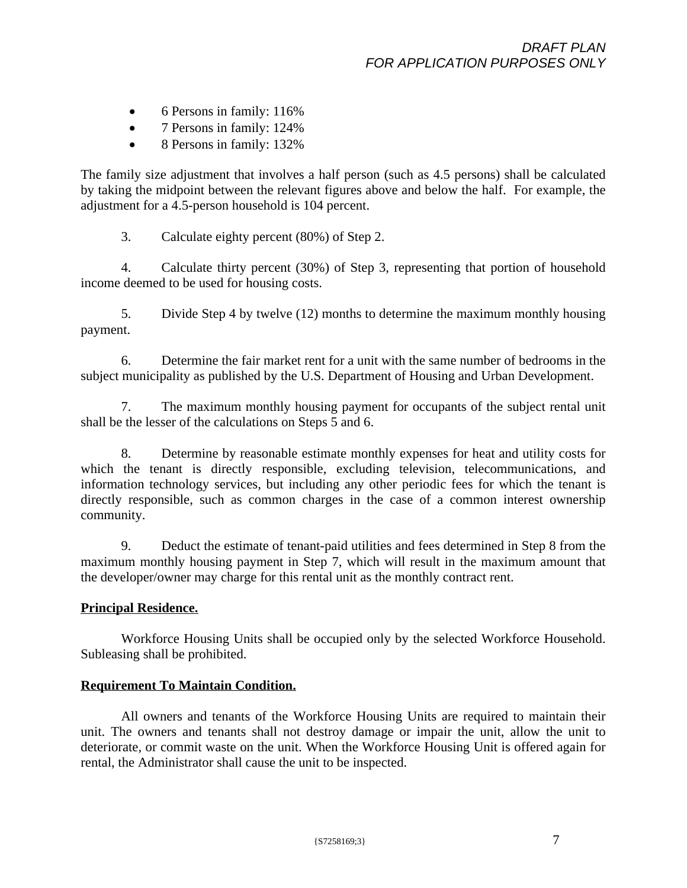- 6 Persons in family: 116%
- 7 Persons in family: 124%
- 8 Persons in family: 132%

The family size adjustment that involves a half person (such as 4.5 persons) shall be calculated by taking the midpoint between the relevant figures above and below the half. For example, the adjustment for a 4.5-person household is 104 percent.

3. Calculate eighty percent (80%) of Step 2.

4. Calculate thirty percent (30%) of Step 3, representing that portion of household income deemed to be used for housing costs.

5. Divide Step 4 by twelve (12) months to determine the maximum monthly housing payment.

6. Determine the fair market rent for a unit with the same number of bedrooms in the subject municipality as published by the U.S. Department of Housing and Urban Development.

7. The maximum monthly housing payment for occupants of the subject rental unit shall be the lesser of the calculations on Steps 5 and 6.

8. Determine by reasonable estimate monthly expenses for heat and utility costs for which the tenant is directly responsible, excluding television, telecommunications, and information technology services, but including any other periodic fees for which the tenant is directly responsible, such as common charges in the case of a common interest ownership community.

9. Deduct the estimate of tenant-paid utilities and fees determined in Step 8 from the maximum monthly housing payment in Step 7, which will result in the maximum amount that the developer/owner may charge for this rental unit as the monthly contract rent.

### **Principal Residence.**

Workforce Housing Units shall be occupied only by the selected Workforce Household. Subleasing shall be prohibited.

### **Requirement To Maintain Condition.**

All owners and tenants of the Workforce Housing Units are required to maintain their unit. The owners and tenants shall not destroy damage or impair the unit, allow the unit to deteriorate, or commit waste on the unit. When the Workforce Housing Unit is offered again for rental, the Administrator shall cause the unit to be inspected.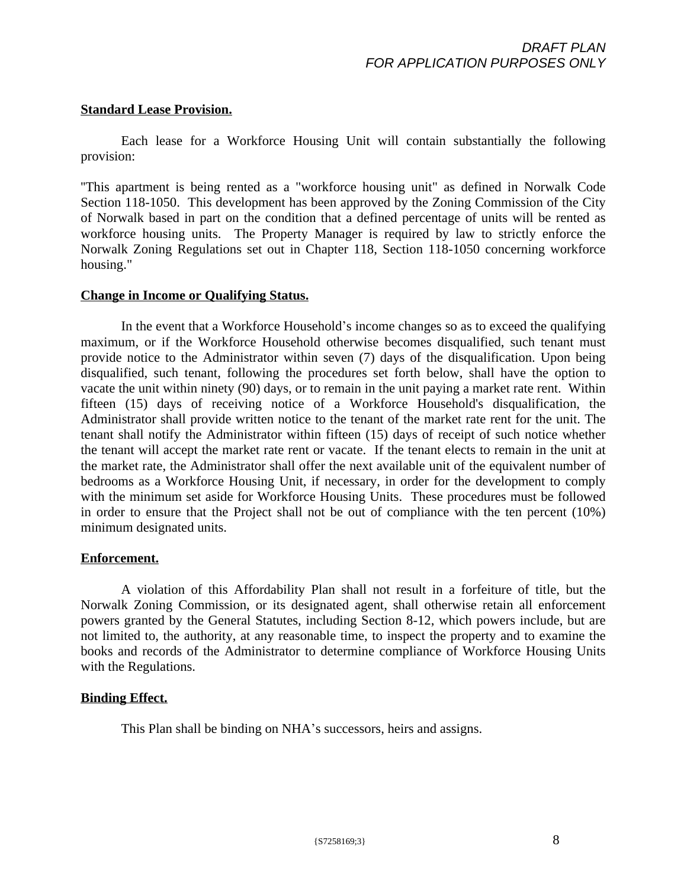#### **Standard Lease Provision.**

Each lease for a Workforce Housing Unit will contain substantially the following provision:

''This apartment is being rented as a "workforce housing unit" as defined in Norwalk Code Section 118-1050. This development has been approved by the Zoning Commission of the City of Norwalk based in part on the condition that a defined percentage of units will be rented as workforce housing units. The Property Manager is required by law to strictly enforce the Norwalk Zoning Regulations set out in Chapter 118, Section 118-1050 concerning workforce housing."

#### **Change in Income or Qualifying Status.**

In the event that a Workforce Household's income changes so as to exceed the qualifying maximum, or if the Workforce Household otherwise becomes disqualified, such tenant must provide notice to the Administrator within seven (7) days of the disqualification. Upon being disqualified, such tenant, following the procedures set forth below, shall have the option to vacate the unit within ninety (90) days, or to remain in the unit paying a market rate rent. Within fifteen (15) days of receiving notice of a Workforce Household's disqualification, the Administrator shall provide written notice to the tenant of the market rate rent for the unit. The tenant shall notify the Administrator within fifteen (15) days of receipt of such notice whether the tenant will accept the market rate rent or vacate. If the tenant elects to remain in the unit at the market rate, the Administrator shall offer the next available unit of the equivalent number of bedrooms as a Workforce Housing Unit, if necessary, in order for the development to comply with the minimum set aside for Workforce Housing Units. These procedures must be followed in order to ensure that the Project shall not be out of compliance with the ten percent (10%) minimum designated units.

### **Enforcement.**

A violation of this Affordability Plan shall not result in a forfeiture of title, but the Norwalk Zoning Commission, or its designated agent, shall otherwise retain all enforcement powers granted by the General Statutes, including Section 8-12, which powers include, but are not limited to, the authority, at any reasonable time, to inspect the property and to examine the books and records of the Administrator to determine compliance of Workforce Housing Units with the Regulations.

### **Binding Effect.**

This Plan shall be binding on NHA's successors, heirs and assigns.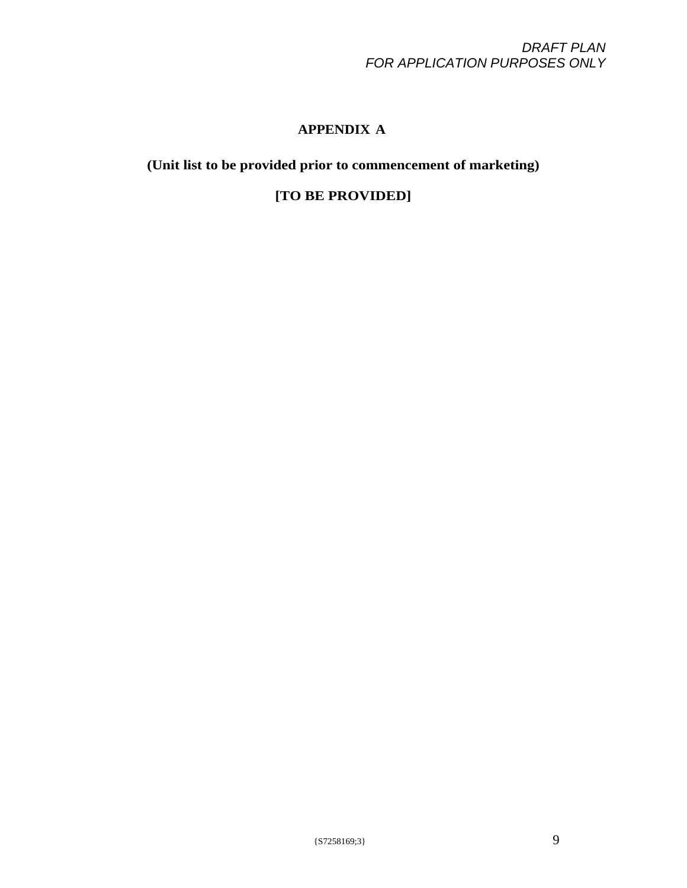# **APPENDIX A**

**(Unit list to be provided prior to commencement of marketing)**

**[TO BE PROVIDED]**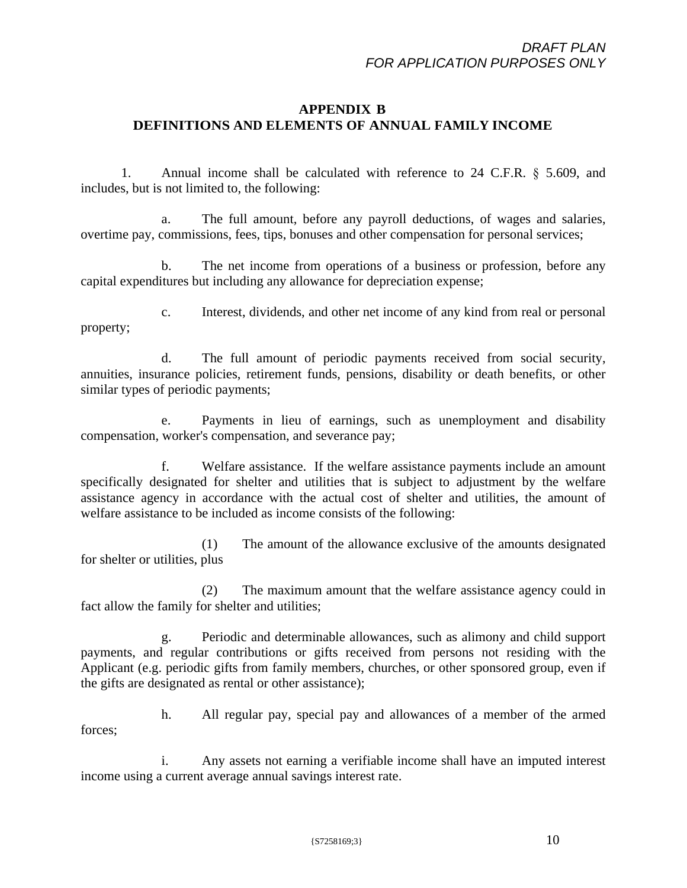### **APPENDIX B DEFINITIONS AND ELEMENTS OF ANNUAL FAMILY INCOME**

1. Annual income shall be calculated with reference to 24 C.F.R. § 5.609, and includes, but is not limited to, the following:

a. The full amount, before any payroll deductions, of wages and salaries, overtime pay, commissions, fees, tips, bonuses and other compensation for personal services;

b. The net income from operations of a business or profession, before any capital expenditures but including any allowance for depreciation expense;

c. Interest, dividends, and other net income of any kind from real or personal property;

d. The full amount of periodic payments received from social security, annuities, insurance policies, retirement funds, pensions, disability or death benefits, or other similar types of periodic payments;

e. Payments in lieu of earnings, such as unemployment and disability compensation, worker's compensation, and severance pay;

Welfare assistance. If the welfare assistance payments include an amount specifically designated for shelter and utilities that is subject to adjustment by the welfare assistance agency in accordance with the actual cost of shelter and utilities, the amount of welfare assistance to be included as income consists of the following:

(1) The amount of the allowance exclusive of the amounts designated for shelter or utilities, plus

(2) The maximum amount that the welfare assistance agency could in fact allow the family for shelter and utilities;

g. Periodic and determinable allowances, such as alimony and child support payments, and regular contributions or gifts received from persons not residing with the Applicant (e.g. periodic gifts from family members, churches, or other sponsored group, even if the gifts are designated as rental or other assistance);

h. All regular pay, special pay and allowances of a member of the armed forces;

i. Any assets not earning a verifiable income shall have an imputed interest income using a current average annual savings interest rate.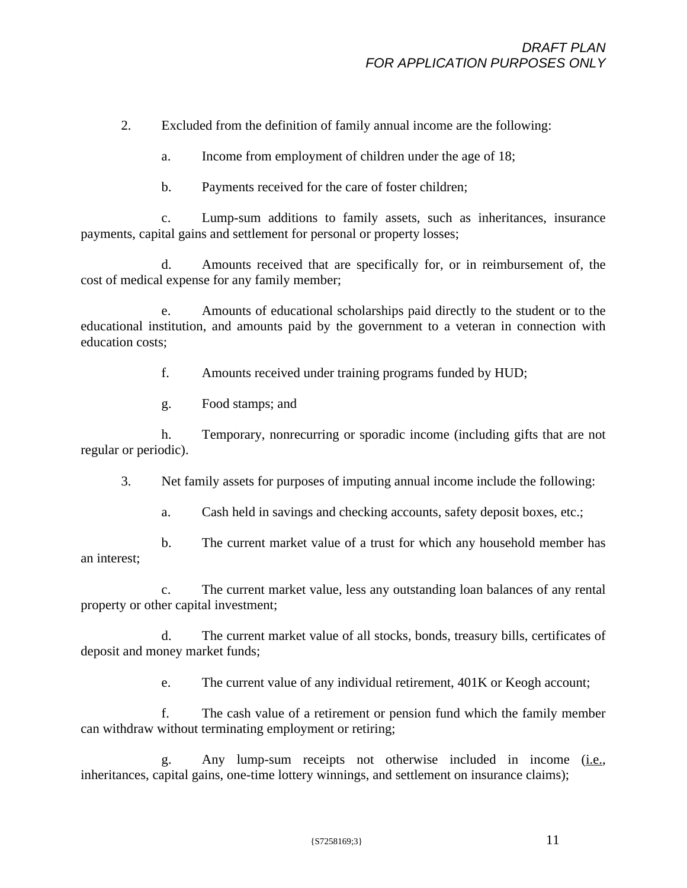2. Excluded from the definition of family annual income are the following:

a. Income from employment of children under the age of 18;

b. Payments received for the care of foster children;

c. Lump-sum additions to family assets, such as inheritances, insurance payments, capital gains and settlement for personal or property losses;

d. Amounts received that are specifically for, or in reimbursement of, the cost of medical expense for any family member;

e. Amounts of educational scholarships paid directly to the student or to the educational institution, and amounts paid by the government to a veteran in connection with education costs;

f. Amounts received under training programs funded by HUD;

g. Food stamps; and

h. Temporary, nonrecurring or sporadic income (including gifts that are not regular or periodic).

3. Net family assets for purposes of imputing annual income include the following:

a. Cash held in savings and checking accounts, safety deposit boxes, etc.;

b. The current market value of a trust for which any household member has an interest;

c. The current market value, less any outstanding loan balances of any rental property or other capital investment;

d. The current market value of all stocks, bonds, treasury bills, certificates of deposit and money market funds;

e. The current value of any individual retirement, 401K or Keogh account;

f. The cash value of a retirement or pension fund which the family member can withdraw without terminating employment or retiring;

g. Any lump-sum receipts not otherwise included in income (i.e., inheritances, capital gains, one-time lottery winnings, and settlement on insurance claims);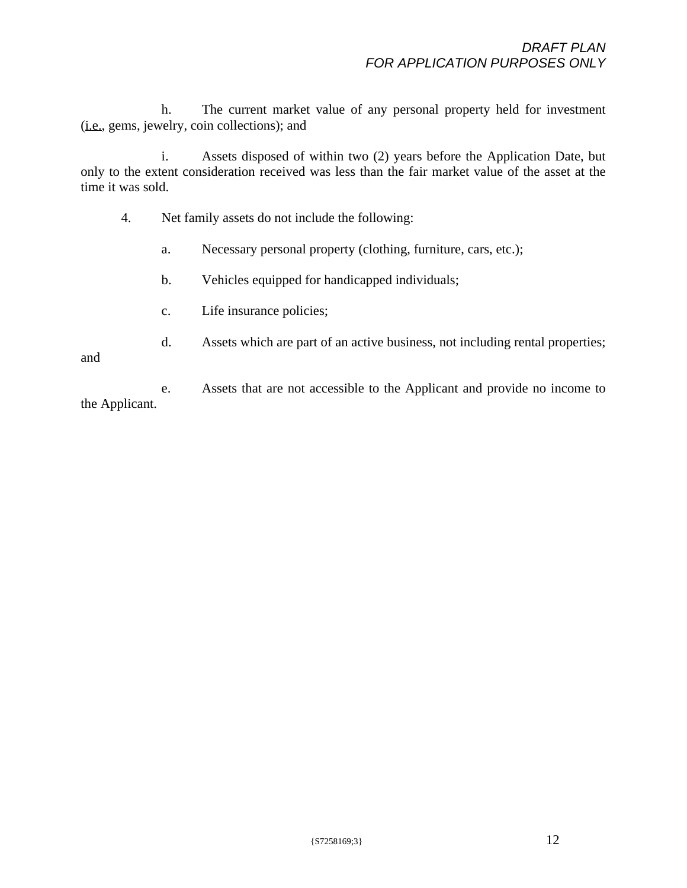h. The current market value of any personal property held for investment (i.e., gems, jewelry, coin collections); and

i. Assets disposed of within two (2) years before the Application Date, but only to the extent consideration received was less than the fair market value of the asset at the time it was sold.

- 4. Net family assets do not include the following:
	- a. Necessary personal property (clothing, furniture, cars, etc.);
	- b. Vehicles equipped for handicapped individuals;
	- c. Life insurance policies;
	- d. Assets which are part of an active business, not including rental properties;

and

e. Assets that are not accessible to the Applicant and provide no income to the Applicant.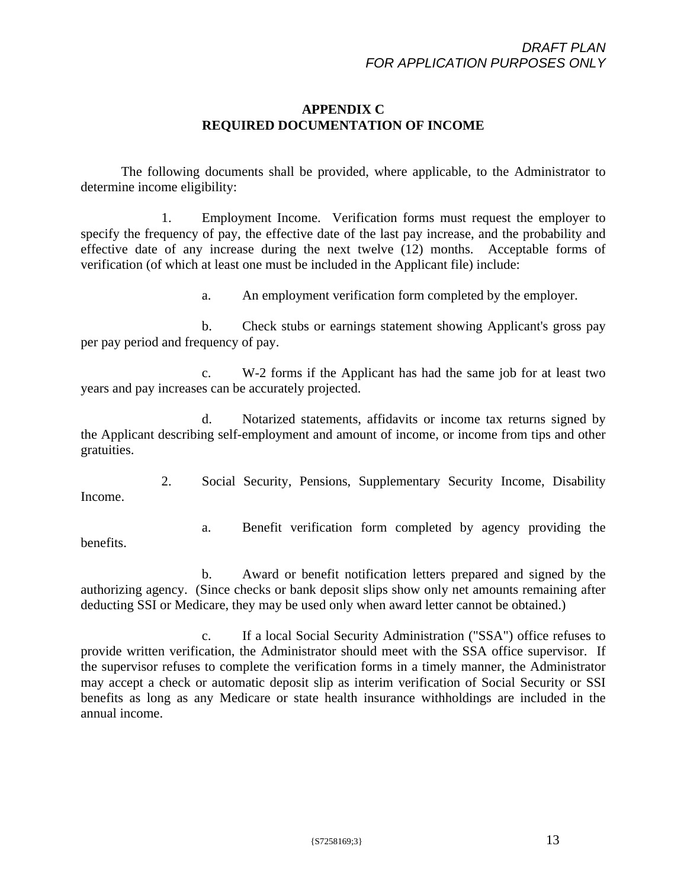## **APPENDIX C REQUIRED DOCUMENTATION OF INCOME**

The following documents shall be provided, where applicable, to the Administrator to determine income eligibility:

1. Employment Income. Verification forms must request the employer to specify the frequency of pay, the effective date of the last pay increase, and the probability and effective date of any increase during the next twelve (12) months. Acceptable forms of verification (of which at least one must be included in the Applicant file) include:

a. An employment verification form completed by the employer.

b. Check stubs or earnings statement showing Applicant's gross pay per pay period and frequency of pay.

c. W-2 forms if the Applicant has had the same job for at least two years and pay increases can be accurately projected.

d. Notarized statements, affidavits or income tax returns signed by the Applicant describing self-employment and amount of income, or income from tips and other gratuities.

2. Social Security, Pensions, Supplementary Security Income, Disability Income.

benefits.

a. Benefit verification form completed by agency providing the

b. Award or benefit notification letters prepared and signed by the authorizing agency. (Since checks or bank deposit slips show only net amounts remaining after deducting SSI or Medicare, they may be used only when award letter cannot be obtained.)

c. If a local Social Security Administration ("SSA") office refuses to provide written verification, the Administrator should meet with the SSA office supervisor. If the supervisor refuses to complete the verification forms in a timely manner, the Administrator may accept a check or automatic deposit slip as interim verification of Social Security or SSI benefits as long as any Medicare or state health insurance withholdings are included in the annual income.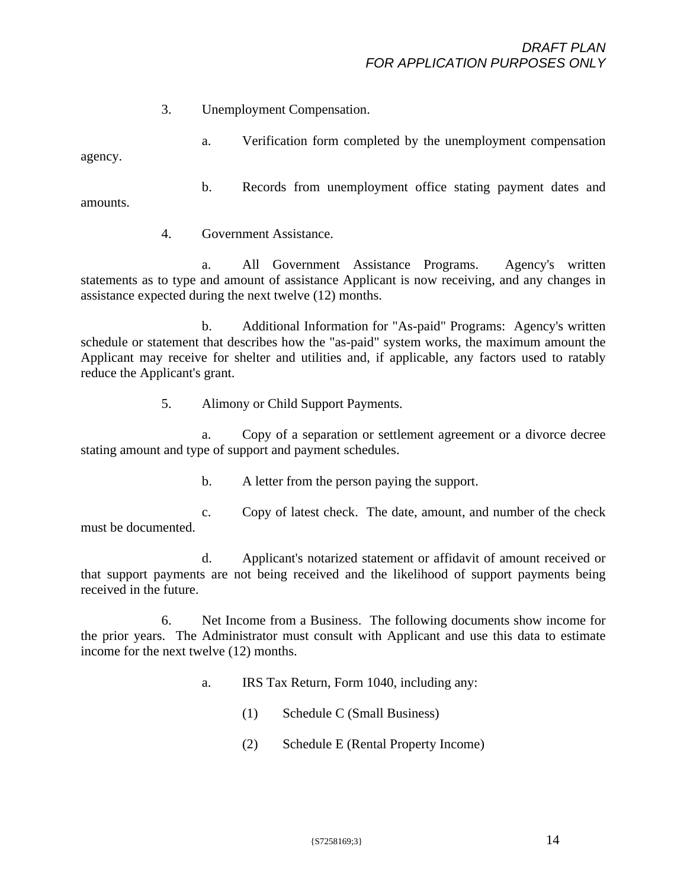3. Unemployment Compensation.

a. Verification form completed by the unemployment compensation agency.

b. Records from unemployment office stating payment dates and amounts.

4. Government Assistance.

a. All Government Assistance Programs. Agency's written statements as to type and amount of assistance Applicant is now receiving, and any changes in assistance expected during the next twelve (12) months.

b. Additional Information for "As-paid" Programs: Agency's written schedule or statement that describes how the "as-paid" system works, the maximum amount the Applicant may receive for shelter and utilities and, if applicable, any factors used to ratably reduce the Applicant's grant.

5. Alimony or Child Support Payments.

a. Copy of a separation or settlement agreement or a divorce decree stating amount and type of support and payment schedules.

b. A letter from the person paying the support.

c. Copy of latest check. The date, amount, and number of the check must be documented.

d. Applicant's notarized statement or affidavit of amount received or that support payments are not being received and the likelihood of support payments being received in the future.

6. Net Income from a Business. The following documents show income for the prior years. The Administrator must consult with Applicant and use this data to estimate income for the next twelve (12) months.

- a. IRS Tax Return, Form 1040, including any:
	- (1) Schedule C (Small Business)
	- (2) Schedule E (Rental Property Income)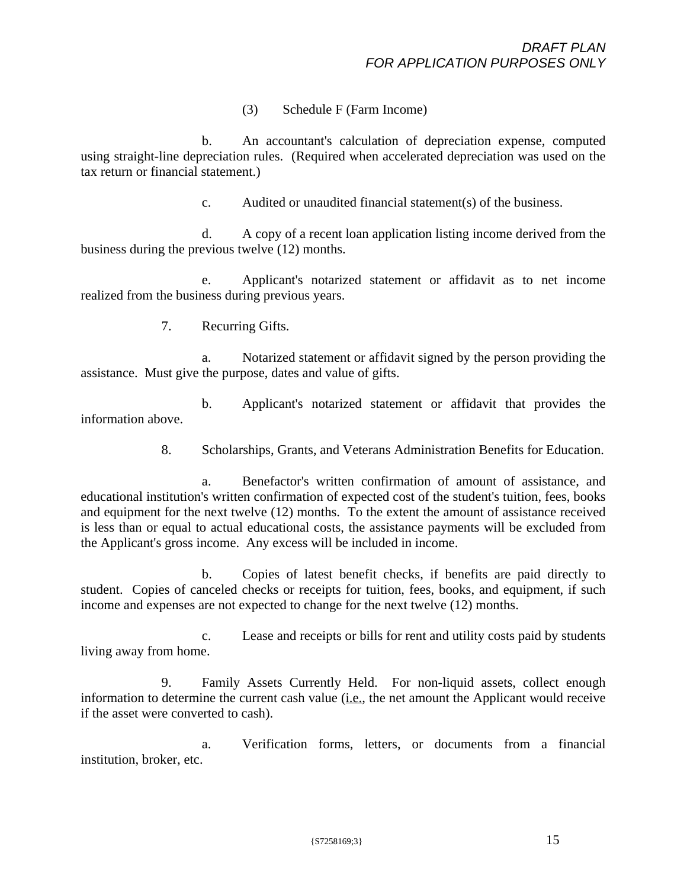(3) Schedule F (Farm Income)

b. An accountant's calculation of depreciation expense, computed using straight-line depreciation rules. (Required when accelerated depreciation was used on the tax return or financial statement.)

c. Audited or unaudited financial statement(s) of the business.

d. A copy of a recent loan application listing income derived from the business during the previous twelve (12) months.

e. Applicant's notarized statement or affidavit as to net income realized from the business during previous years.

7. Recurring Gifts.

a. Notarized statement or affidavit signed by the person providing the assistance. Must give the purpose, dates and value of gifts.

b. Applicant's notarized statement or affidavit that provides the information above.

8. Scholarships, Grants, and Veterans Administration Benefits for Education.

a. Benefactor's written confirmation of amount of assistance, and educational institution's written confirmation of expected cost of the student's tuition, fees, books and equipment for the next twelve (12) months. To the extent the amount of assistance received is less than or equal to actual educational costs, the assistance payments will be excluded from the Applicant's gross income. Any excess will be included in income.

b. Copies of latest benefit checks, if benefits are paid directly to student. Copies of canceled checks or receipts for tuition, fees, books, and equipment, if such income and expenses are not expected to change for the next twelve (12) months.

c. Lease and receipts or bills for rent and utility costs paid by students living away from home.

9. Family Assets Currently Held. For non-liquid assets, collect enough information to determine the current cash value (i.e., the net amount the Applicant would receive if the asset were converted to cash).

a. Verification forms, letters, or documents from a financial institution, broker, etc.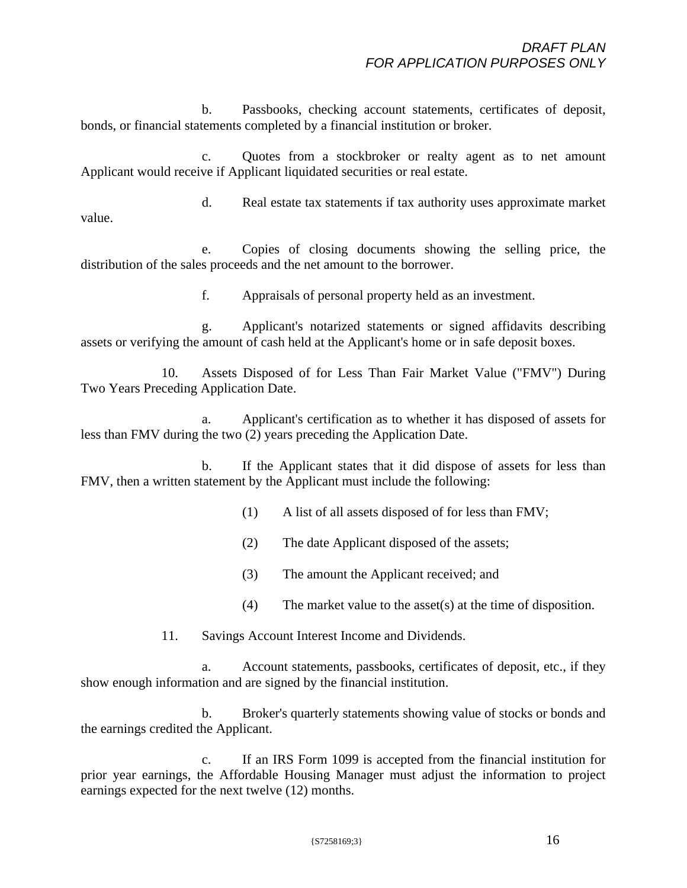b. Passbooks, checking account statements, certificates of deposit, bonds, or financial statements completed by a financial institution or broker.

c. Quotes from a stockbroker or realty agent as to net amount Applicant would receive if Applicant liquidated securities or real estate.

d. Real estate tax statements if tax authority uses approximate market value.

e. Copies of closing documents showing the selling price, the distribution of the sales proceeds and the net amount to the borrower.

f. Appraisals of personal property held as an investment.

g. Applicant's notarized statements or signed affidavits describing assets or verifying the amount of cash held at the Applicant's home or in safe deposit boxes.

10. Assets Disposed of for Less Than Fair Market Value ("FMV") During Two Years Preceding Application Date.

a. Applicant's certification as to whether it has disposed of assets for less than FMV during the two (2) years preceding the Application Date.

b. If the Applicant states that it did dispose of assets for less than FMV, then a written statement by the Applicant must include the following:

- (1) A list of all assets disposed of for less than FMV;
- (2) The date Applicant disposed of the assets;
- (3) The amount the Applicant received; and
- (4) The market value to the asset(s) at the time of disposition.

11. Savings Account Interest Income and Dividends.

a. Account statements, passbooks, certificates of deposit, etc., if they show enough information and are signed by the financial institution.

b. Broker's quarterly statements showing value of stocks or bonds and the earnings credited the Applicant.

c. If an IRS Form 1099 is accepted from the financial institution for prior year earnings, the Affordable Housing Manager must adjust the information to project earnings expected for the next twelve (12) months.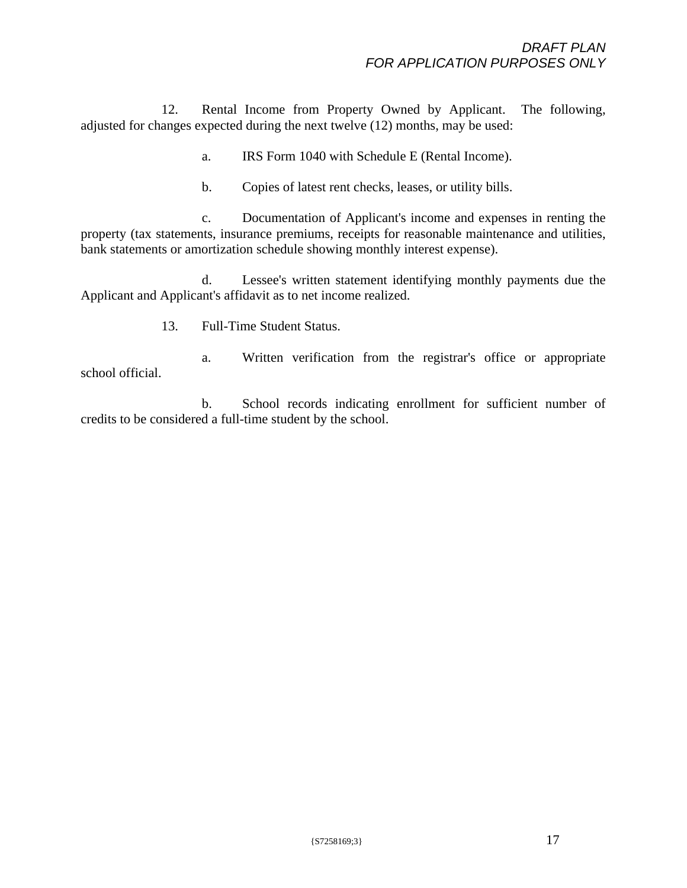12. Rental Income from Property Owned by Applicant. The following, adjusted for changes expected during the next twelve (12) months, may be used:

a. IRS Form 1040 with Schedule E (Rental Income).

b. Copies of latest rent checks, leases, or utility bills.

c. Documentation of Applicant's income and expenses in renting the property (tax statements, insurance premiums, receipts for reasonable maintenance and utilities, bank statements or amortization schedule showing monthly interest expense).

d. Lessee's written statement identifying monthly payments due the Applicant and Applicant's affidavit as to net income realized.

13. Full-Time Student Status.

a. Written verification from the registrar's office or appropriate school official.

b. School records indicating enrollment for sufficient number of credits to be considered a full-time student by the school.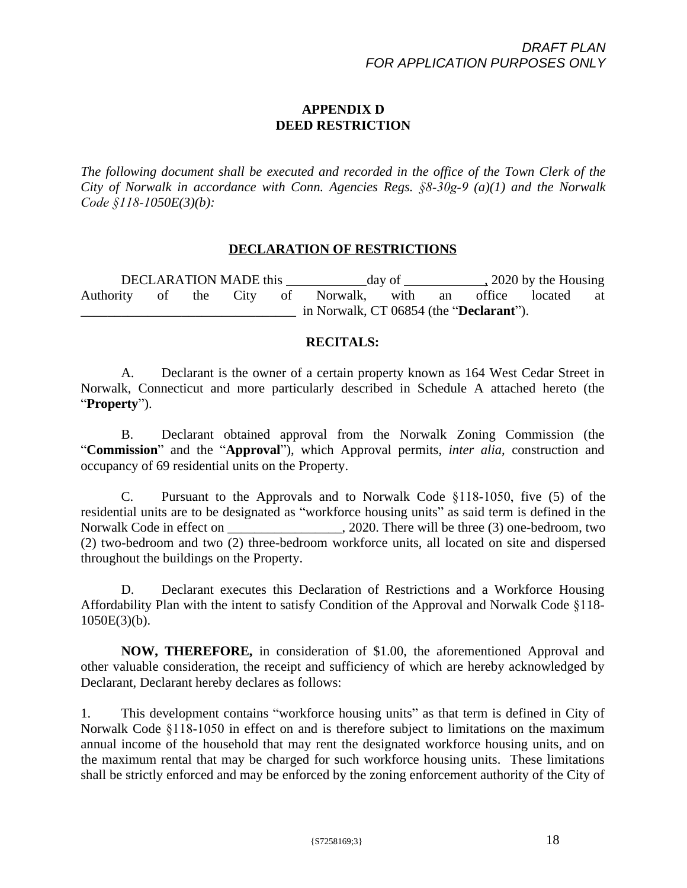# **APPENDIX D DEED RESTRICTION**

*The following document shall be executed and recorded in the office of the Town Clerk of the City of Norwalk in accordance with Conn. Agencies Regs. §8-30g-9 (a)(1) and the Norwalk Code §118-1050E(3)(b):*

### **DECLARATION OF RESTRICTIONS**

DECLARATION MADE this day of , 2020 by the Housing Authority of the City of Norwalk, with an office located at \_\_\_\_\_\_\_\_\_\_\_\_\_\_\_\_\_\_\_\_\_\_\_\_\_\_\_\_\_\_\_\_ in Norwalk, CT 06854 (the "**Declarant**").

### **RECITALS:**

A. Declarant is the owner of a certain property known as 164 West Cedar Street in Norwalk, Connecticut and more particularly described in Schedule A attached hereto (the "**Property**").

B. Declarant obtained approval from the Norwalk Zoning Commission (the "**Commission**" and the "**Approval**"), which Approval permits, *inter alia*, construction and occupancy of 69 residential units on the Property.

C. Pursuant to the Approvals and to Norwalk Code §118-1050, five (5) of the residential units are to be designated as "workforce housing units" as said term is defined in the Norwalk Code in effect on \_\_\_\_\_\_\_\_\_\_\_\_\_\_\_\_\_, 2020. There will be three (3) one-bedroom, two (2) two-bedroom and two (2) three-bedroom workforce units, all located on site and dispersed throughout the buildings on the Property.

D. Declarant executes this Declaration of Restrictions and a Workforce Housing Affordability Plan with the intent to satisfy Condition of the Approval and Norwalk Code §118-  $1050E(3)(b)$ .

**NOW, THEREFORE,** in consideration of \$1.00, the aforementioned Approval and other valuable consideration, the receipt and sufficiency of which are hereby acknowledged by Declarant, Declarant hereby declares as follows:

1. This development contains "workforce housing units" as that term is defined in City of Norwalk Code §118-1050 in effect on and is therefore subject to limitations on the maximum annual income of the household that may rent the designated workforce housing units, and on the maximum rental that may be charged for such workforce housing units. These limitations shall be strictly enforced and may be enforced by the zoning enforcement authority of the City of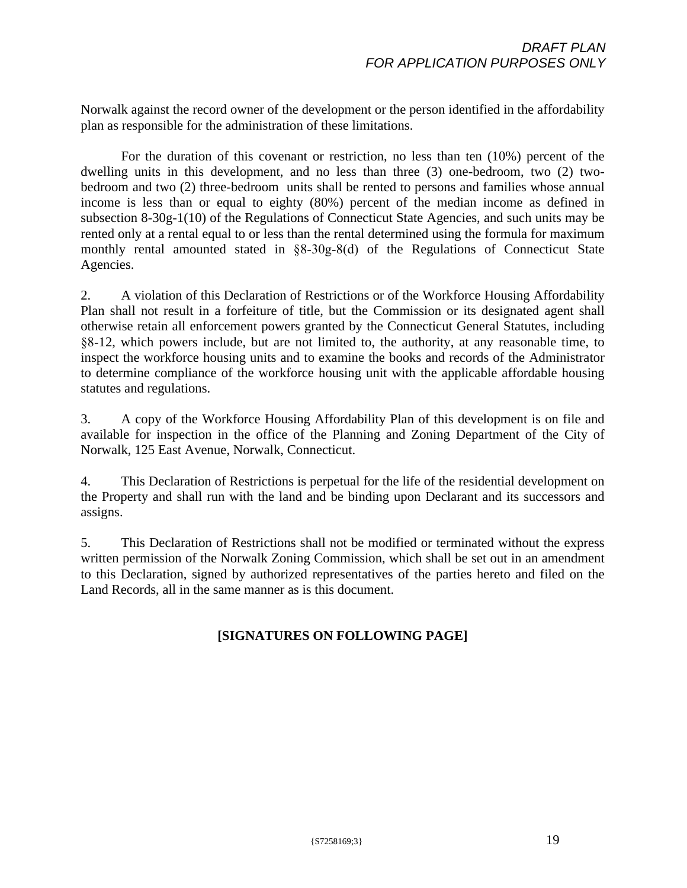Norwalk against the record owner of the development or the person identified in the affordability plan as responsible for the administration of these limitations.

For the duration of this covenant or restriction, no less than ten (10%) percent of the dwelling units in this development, and no less than three (3) one-bedroom, two (2) twobedroom and two (2) three-bedroom units shall be rented to persons and families whose annual income is less than or equal to eighty (80%) percent of the median income as defined in subsection 8-30g-1(10) of the Regulations of Connecticut State Agencies, and such units may be rented only at a rental equal to or less than the rental determined using the formula for maximum monthly rental amounted stated in §8-30g-8(d) of the Regulations of Connecticut State Agencies.

2. A violation of this Declaration of Restrictions or of the Workforce Housing Affordability Plan shall not result in a forfeiture of title, but the Commission or its designated agent shall otherwise retain all enforcement powers granted by the Connecticut General Statutes, including §8-12, which powers include, but are not limited to, the authority, at any reasonable time, to inspect the workforce housing units and to examine the books and records of the Administrator to determine compliance of the workforce housing unit with the applicable affordable housing statutes and regulations.

3. A copy of the Workforce Housing Affordability Plan of this development is on file and available for inspection in the office of the Planning and Zoning Department of the City of Norwalk, 125 East Avenue, Norwalk, Connecticut.

4. This Declaration of Restrictions is perpetual for the life of the residential development on the Property and shall run with the land and be binding upon Declarant and its successors and assigns.

5. This Declaration of Restrictions shall not be modified or terminated without the express written permission of the Norwalk Zoning Commission, which shall be set out in an amendment to this Declaration, signed by authorized representatives of the parties hereto and filed on the Land Records, all in the same manner as is this document.

# **[SIGNATURES ON FOLLOWING PAGE]**